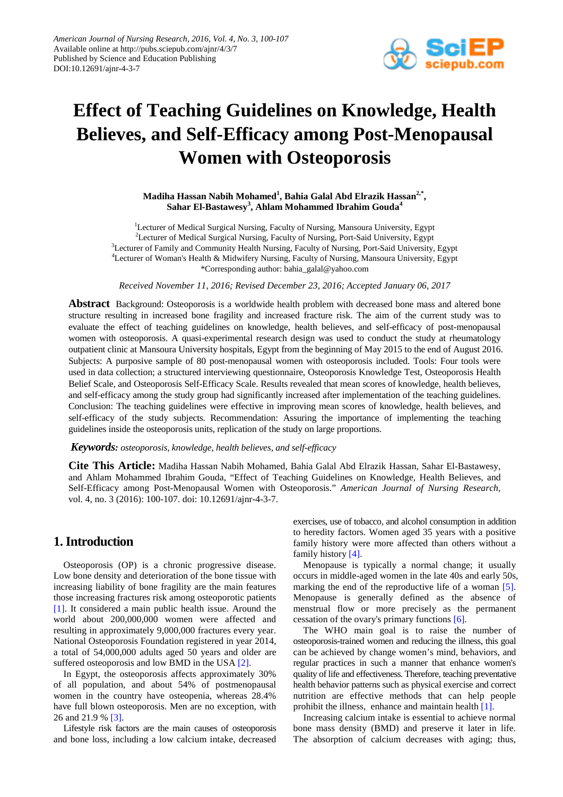

# **Effect of Teaching Guidelines on Knowledge, Health Believes, and Self-Efficacy among Post-Menopausal Women with Osteoporosis**

**Madiha Hassan Nabih Mohamed<sup>1</sup> , Bahia Galal Abd Elrazik Hassan2,\*, Sahar El-Bastawesy<sup>3</sup> , Ahlam Mohammed Ibrahim Gouda<sup>4</sup>**

<sup>1</sup>Lecturer of Medical Surgical Nursing, Faculty of Nursing, Mansoura University, Egypt <sup>2</sup>Lecturer of Medical Surgical Nursing, Faculty of Nursing, Port-Said University, Egypt <sup>3</sup>Lecturer of Family and Community Health Nursing, Faculty of Nursing, Port-Said University, Egypt <sup>4</sup>Lecturer of Woman's Health & Midwifery Nursing, Faculty of Nursing, Mansoura University, Egypt \*Corresponding author: bahia\_galal@yahoo.com

*Received November 11, 2016; Revised December 23, 2016; Accepted January 06, 2017*

**Abstract** Background: Osteoporosis is a worldwide health problem with decreased bone mass and altered bone structure resulting in increased bone fragility and increased fracture risk. The aim of the current study was to evaluate the effect of teaching guidelines on knowledge, health believes, and self-efficacy of post-menopausal women with osteoporosis. A quasi-experimental research design was used to conduct the study at rheumatology outpatient clinic at Mansoura University hospitals, Egypt from the beginning of May 2015 to the end of August 2016. Subjects: A purposive sample of 80 post-menopausal women with osteoporosis included. Tools: Four tools were used in data collection; a structured interviewing questionnaire, Osteoporosis Knowledge Test, Osteoporosis Health Belief Scale, and Osteoporosis Self-Efficacy Scale. Results revealed that mean scores of knowledge, health believes, and self-efficacy among the study group had significantly increased after implementation of the teaching guidelines. Conclusion: The teaching guidelines were effective in improving mean scores of knowledge, health believes, and self-efficacy of the study subjects. Recommendation: Assuring the importance of implementing the teaching guidelines inside the osteoporosis units, replication of the study on large proportions.

*Keywords: osteoporosis, knowledge, health believes, and self-efficacy*

**Cite This Article:** Madiha Hassan Nabih Mohamed, Bahia Galal Abd Elrazik Hassan, Sahar El-Bastawesy, and Ahlam Mohammed Ibrahim Gouda, "Effect of Teaching Guidelines on Knowledge, Health Believes, and Self-Efficacy among Post-Menopausal Women with Osteoporosis." *American Journal of Nursing Research*, vol. 4, no. 3 (2016): 100-107. doi: 10.12691/ajnr-4-3-7.

# **1. Introduction**

Osteoporosis (OP) is a chronic progressive disease. Low bone density and deterioration of the bone tissue with increasing liability of bone fragility are the main features those increasing fractures risk among osteoporotic patients [\[1\].](#page-6-0) It considered a main public health issue. Around the world about 200,000,000 women were affected and resulting in approximately 9,000,000 fractures every year. National Osteoporosis Foundation registered in year 2014, a total of 54,000,000 adults aged 50 years and older are suffered osteoporosis and low BMD in the US[A \[2\].](#page-6-1)

In Egypt, the osteoporosis affects approximately 30% of all population, and about 54% of postmenopausal women in the country have osteopenia, whereas 28.4% have full blown osteoporosis. Men are no exception, with 26 and 21.9 % [\[3\].](#page-6-2)

Lifestyle risk factors are the main causes of osteoporosis and bone loss, including a low calcium intake, decreased exercises, use of tobacco, and alcohol consumption in addition to heredity factors. Women aged 35 years with a positive family history were more affected than others without a family history [\[4\].](#page-6-3)

Menopause is typically a normal change; it usually occurs in middle-aged women in the late 40s and early 50s, marking the end of the reproductive life of a woman [\[5\].](#page-7-0) Menopause is generally defined as the absence of menstrual flow or more precisely as the permanent cessation of the ovary's primary function[s \[6\].](#page-7-1)

The WHO main goal is to raise the number of osteoporosis-trained women and reducing the illness, this goal can be achieved by change women's mind, behaviors, and regular practices in such a manner that enhance women's quality of life and effectiveness. Therefore, teaching preventative health behavior patterns such as physical exercise and correct nutrition are effective methods that can help people prohibit the illness, enhance and maintain health [\[1\].](#page-6-0)

Increasing calcium intake is essential to achieve normal bone mass density (BMD) and preserve it later in life. The absorption of calcium decreases with aging; thus,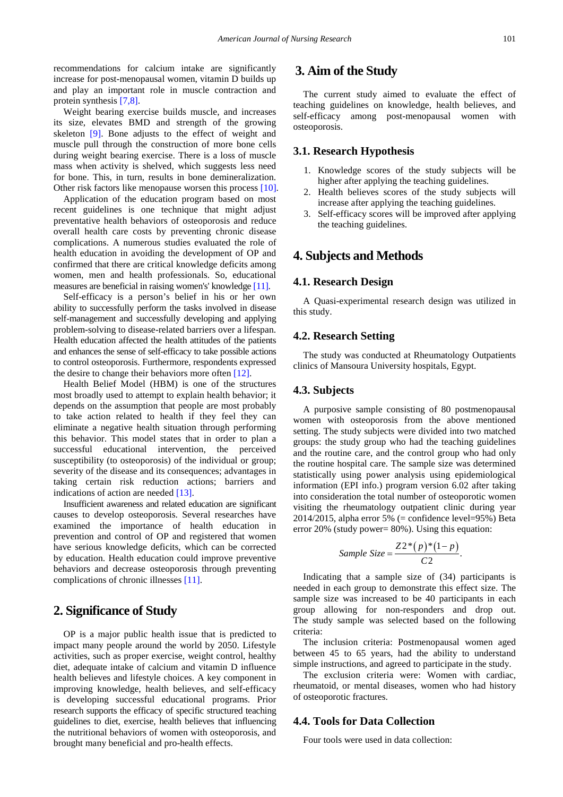recommendations for calcium intake are significantly increase for post-menopausal women, vitamin D builds up and play an important role in muscle contraction and protein synthesi[s \[7,8\].](#page-7-2)

Weight bearing exercise builds muscle, and increases its size, elevates BMD and strength of the growing skeleton [\[9\].](#page-7-3) Bone adjusts to the effect of weight and muscle pull through the construction of more bone cells during weight bearing exercise. There is a loss of muscle mass when activity is shelved, which suggests less need for bone. This, in turn, results in bone demineralization. Other risk factors like menopause worsen this process [\[10\].](#page-7-4)

Application of the education program based on most recent guidelines is one technique that might adjust preventative health behaviors of osteoporosis and reduce overall health care costs by preventing chronic disease complications. A numerous studies evaluated the role of health education in avoiding the development of OP and confirmed that there are critical knowledge deficits among women, men and health professionals. So, educational measures are beneficial in raising women's' knowledge [\[11\].](#page-7-5)

Self-efficacy is a person's belief in his or her own ability to successfully perform the tasks involved in disease self-management and successfully developing and applying problem-solving to disease-related barriers over a lifespan. Health education affected the health attitudes of the patients and enhances the sense of self-efficacy to take possible actions to control osteoporosis. Furthermore, respondents expressed the desire to change their behaviors more often [\[12\].](#page-7-6)

Health Belief Model (HBM) is one of the structures most broadly used to attempt to explain health behavior; it depends on the assumption that people are most probably to take action related to health if they feel they can eliminate a negative health situation through performing this behavior. This model states that in order to plan a successful educational intervention, the perceived susceptibility (to osteoporosis) of the individual or group; severity of the disease and its consequences; advantages in taking certain risk reduction actions; barriers and indications of action are needed [\[13\].](#page-7-7)

Insufficient awareness and related education are significant causes to develop osteoporosis. Several researches have examined the importance of health education in prevention and control of OP and registered that women have serious knowledge deficits, which can be corrected by education. Health education could improve preventive behaviors and decrease osteoporosis through preventing complications of chronic illnesses [\[11\].](#page-7-5)

# **2. Significance of Study**

OP is a major public health issue that is predicted to impact many people around the world by 2050. Lifestyle activities, such as proper exercise, weight control, healthy diet, adequate intake of calcium and vitamin D influence health believes and lifestyle choices. A key component in improving knowledge, health believes, and self-efficacy is developing successful educational programs. Prior research supports the efficacy of specific structured teaching guidelines to diet, exercise, health believes that influencing the nutritional behaviors of women with osteoporosis, and brought many beneficial and pro-health effects.

# **3. Aim of the Study**

The current study aimed to evaluate the effect of teaching guidelines on knowledge, health believes, and self-efficacy among post-menopausal women with osteoporosis.

## **3.1. Research Hypothesis**

- 1. Knowledge scores of the study subjects will be higher after applying the teaching guidelines.
- 2. Health believes scores of the study subjects will increase after applying the teaching guidelines.
- 3. Self-efficacy scores will be improved after applying the teaching guidelines.

# **4. Subjects and Methods**

#### **4.1. Research Design**

A Quasi-experimental research design was utilized in this study.

## **4.2. Research Setting**

The study was conducted at Rheumatology Outpatients clinics of Mansoura University hospitals, Egypt.

## **4.3. Subjects**

A purposive sample consisting of 80 postmenopausal women with osteoporosis from the above mentioned setting. The study subjects were divided into two matched groups: the study group who had the teaching guidelines and the routine care, and the control group who had only the routine hospital care. The sample size was determined statistically using power analysis using epidemiological information (EPI info.) program version 6.02 after taking into consideration the total number of osteoporotic women visiting the rheumatology outpatient clinic during year  $2014/2015$ , alpha error 5% (= confidence level=95%) Beta error 20% (study power= 80%). Using this equation:

Sample Size = 
$$
\frac{Z2^*(p)^*(1-p)}{C2}.
$$

Indicating that a sample size of (34) participants is needed in each group to demonstrate this effect size. The sample size was increased to be 40 participants in each group allowing for non-responders and drop out. The study sample was selected based on the following criteria:

The inclusion criteria: Postmenopausal women aged between 45 to 65 years, had the ability to understand simple instructions, and agreed to participate in the study.

The exclusion criteria were: Women with cardiac, rheumatoid, or mental diseases, women who had history of osteoporotic fractures.

## **4.4. Tools for Data Collection**

Four tools were used in data collection: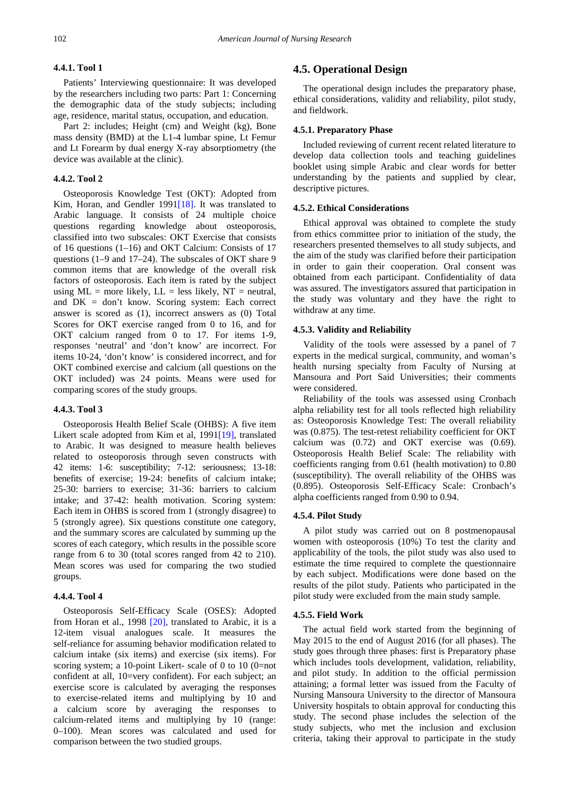#### **4.4.1. Tool 1**

Patients' Interviewing questionnaire: It was developed by the researchers including two parts: Part 1: Concerning the demographic data of the study subjects; including age, residence, marital status, occupation, and education.

Part 2: includes; Height (cm) and Weight (kg), Bone mass density (BMD) at the L1-4 lumbar spine, Lt Femur and Lt Forearm by dual energy X-ray absorptiometry (the device was available at the clinic).

#### **4.4.2. Tool 2**

Osteoporosis Knowledge Test (OKT): Adopted from Kim, Horan, and Gendler 199[1\[18\].](#page-7-8) It was translated to Arabic language. It consists of 24 multiple choice questions regarding knowledge about osteoporosis, classified into two subscales: OKT Exercise that consists of 16 questions (1–16) and OKT Calcium: Consists of 17 questions (1–9 and 17–24). The subscales of OKT share 9 common items that are knowledge of the overall risk factors of osteoporosis. Each item is rated by the subject using  $ML = more likely$ ,  $LL = less likely$ ,  $NT = neutral$ , and  $DK = don't know.$  Scoring system: Each correct answer is scored as (1), incorrect answers as (0) Total Scores for OKT exercise ranged from 0 to 16, and for OKT calcium ranged from 0 to 17. For items 1-9, responses 'neutral' and 'don't know' are incorrect. For items 10-24, 'don't know' is considered incorrect, and for OKT combined exercise and calcium (all questions on the OKT included) was 24 points. Means were used for comparing scores of the study groups.

#### **4.4.3. Tool 3**

Osteoporosis Health Belief Scale (OHBS): A five item Likert scale adopted from Kim et al, 199[1\[19\],](#page-7-9) translated to Arabic. It was designed to measure health believes related to osteoporosis through seven constructs with 42 items: 1-6: susceptibility; 7-12: seriousness; 13-18: benefits of exercise; 19-24: benefits of calcium intake; 25-30: barriers to exercise; 31-36: barriers to calcium intake; and 37-42: health motivation. Scoring system: Each item in OHBS is scored from 1 (strongly disagree) to 5 (strongly agree). Six questions constitute one category, and the summary scores are calculated by summing up the scores of each category, which results in the possible score range from 6 to 30 (total scores ranged from 42 to 210). Mean scores was used for comparing the two studied groups.

#### **4.4.4. Tool 4**

Osteoporosis Self-Efficacy Scale (OSES): Adopted from Horan et al., 1998 [\[20\],](#page-7-10) translated to Arabic, it is a 12-item visual analogues scale. It measures the self-reliance for assuming behavior modification related to calcium intake (six items) and exercise (six items). For scoring system; a 10-point Likert- scale of 0 to 10 (0=not confident at all, 10=very confident). For each subject; an exercise score is calculated by averaging the responses to exercise-related items and multiplying by 10 and a calcium score by averaging the responses to calcium-related items and multiplying by 10 (range: 0–100). Mean scores was calculated and used for comparison between the two studied groups.

## **4.5. Operational Design**

The operational design includes the preparatory phase, ethical considerations, validity and reliability, pilot study, and fieldwork.

#### **4.5.1. Preparatory Phase**

Included reviewing of current recent related literature to develop data collection tools and teaching guidelines booklet using simple Arabic and clear words for better understanding by the patients and supplied by clear, descriptive pictures.

#### **4.5.2. Ethical Considerations**

Ethical approval was obtained to complete the study from ethics committee prior to initiation of the study, the researchers presented themselves to all study subjects, and the aim of the study was clarified before their participation in order to gain their cooperation. Oral consent was obtained from each participant. Confidentiality of data was assured. The investigators assured that participation in the study was voluntary and they have the right to withdraw at any time.

#### **4.5.3. Validity and Reliability**

Validity of the tools were assessed by a panel of 7 experts in the medical surgical, community, and woman's health nursing specialty from Faculty of Nursing at Mansoura and Port Said Universities; their comments were considered.

Reliability of the tools was assessed using Cronbach alpha reliability test for all tools reflected high reliability as: Osteoporosis Knowledge Test: The overall reliability was (0.875). The test-retest reliability coefficient for OKT calcium was (0.72) and OKT exercise was (0.69). Osteoporosis Health Belief Scale: The reliability with coefficients ranging from 0.61 (health motivation) to 0.80 (susceptibility). The overall reliability of the OHBS was (0.895). Osteoporosis Self-Efficacy Scale: Cronbach's alpha coefficients ranged from 0.90 to 0.94.

#### **4.5.4. Pilot Study**

A pilot study was carried out on 8 postmenopausal women with osteoporosis (10%) To test the clarity and applicability of the tools, the pilot study was also used to estimate the time required to complete the questionnaire by each subject. Modifications were done based on the results of the pilot study. Patients who participated in the pilot study were excluded from the main study sample.

#### **4.5.5. Field Work**

The actual field work started from the beginning of May 2015 to the end of August 2016 (for all phases). The study goes through three phases: first is Preparatory phase which includes tools development, validation, reliability, and pilot study. In addition to the official permission attaining; a formal letter was issued from the Faculty of Nursing Mansoura University to the director of Mansoura University hospitals to obtain approval for conducting this study. The second phase includes the selection of the study subjects, who met the inclusion and exclusion criteria, taking their approval to participate in the study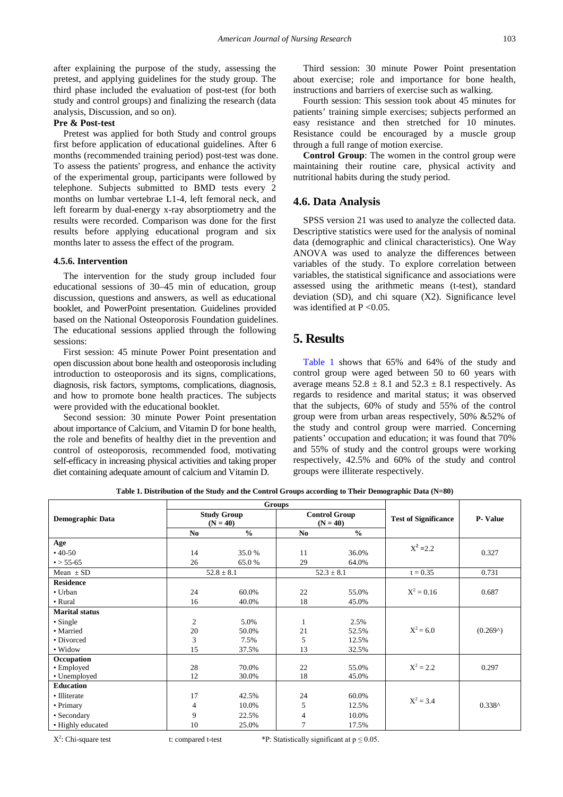after explaining the purpose of the study, assessing the pretest, and applying guidelines for the study group. The third phase included the evaluation of post-test (for both study and control groups) and finalizing the research (data analysis, Discussion, and so on).

## **Pre & Post-test**

Pretest was applied for both Study and control groups first before application of educational guidelines. After 6 months (recommended training period) post-test was done. To assess the patients' progress, and enhance the activity of the experimental group, participants were followed by telephone. Subjects submitted to BMD tests every 2 months on lumbar vertebrae L1-4, left femoral neck, and left forearm by dual-energy x-ray absorptiometry and the results were recorded. Comparison was done for the first results before applying educational program and six months later to assess the effect of the program.

#### **4.5.6. Intervention**

The intervention for the study group included four educational sessions of 30–45 min of education, group discussion, questions and answers, as well as educational booklet, and PowerPoint presentation. Guidelines provided based on the National Osteoporosis Foundation guidelines. The educational sessions applied through the following sessions:

First session: 45 minute Power Point presentation and open discussion about bone health and osteoporosis including introduction to osteoporosis and its signs, complications, diagnosis, risk factors, symptoms, complications, diagnosis, and how to promote bone health practices. The subjects were provided with the educational booklet.

Second session: 30 minute Power Point presentation about importance of Calcium, and Vitamin D for bone health, the role and benefits of healthy diet in the prevention and control of osteoporosis, recommended food, motivating self-efficacy in increasing physical activities and taking proper diet containing adequate amount of calcium and Vitamin D.

Third session: 30 minute Power Point presentation about exercise; role and importance for bone health, instructions and barriers of exercise such as walking.

Fourth session: This session took about 45 minutes for patients' training simple exercises; subjects performed an easy resistance and then stretched for 10 minutes. Resistance could be encouraged by a muscle group through a full range of motion exercise.

**Control Group**: The women in the control group were maintaining their routine care, physical activity and nutritional habits during the study period.

## **4.6. Data Analysis**

SPSS version 21 was used to analyze the collected data. Descriptive statistics were used for the analysis of nominal data (demographic and clinical characteristics). One Way ANOVA was used to analyze the differences between variables of the study. To explore correlation between variables, the statistical significance and associations were assessed using the arithmetic means (t-test), standard deviation (SD), and chi square (X2). Significance level was identified at  $P < 0.05$ .

# **5. Results**

[Table 1](#page-3-0) shows that 65% and 64% of the study and control group were aged between 50 to 60 years with average means  $52.8 \pm 8.1$  and  $52.3 \pm 8.1$  respectively. As regards to residence and marital status; it was observed that the subjects, 60% of study and 55% of the control group were from urban areas respectively, 50% &52% of the study and control group were married. Concerning patients' occupation and education; it was found that 70% and 55% of study and the control groups were working respectively, 42.5% and 60% of the study and control groups were illiterate respectively.

<span id="page-3-0"></span>

|                         |                |                    | Groups     |                      |                             |                |  |
|-------------------------|----------------|--------------------|------------|----------------------|-----------------------------|----------------|--|
| <b>Demographic Data</b> |                | <b>Study Group</b> |            | <b>Control Group</b> | <b>Test of Significance</b> | <b>P-Value</b> |  |
|                         | $(N = 40)$     |                    | $(N = 40)$ |                      |                             |                |  |
|                         | No             | $\frac{0}{0}$      | No.        | $\frac{0}{0}$        |                             |                |  |
| Age                     |                |                    |            |                      | $X^2 = 2.2$                 |                |  |
| $•40-50$                | 14             | 35.0%              | 11         | 36.0%                |                             | 0.327          |  |
| $\bullet$ > 55-65       | 26             | 65.0%              | 29         | 64.0%                |                             |                |  |
| Mean $\pm$ SD           |                | $52.8 \pm 8.1$     |            | $52.3 \pm 8.1$       | $t = 0.35$                  | 0.731          |  |
| <b>Residence</b>        |                |                    |            |                      |                             |                |  |
| • Urban                 | 24             | 60.0%              | 22         | 55.0%                | $X^2 = 0.16$                | 0.687          |  |
| • Rural                 | 16             | 40.0%              | 18         | 45.0%                |                             |                |  |
| <b>Marital</b> status   |                |                    |            |                      |                             |                |  |
| $\bullet$ Single        | $\mathfrak{2}$ | 5.0%               | 1          | 2.5%                 |                             |                |  |
| • Married               | 20             | 50.0%              | 21         | 52.5%                | $X^2 = 6.0$                 | (0.269)        |  |
| • Divorced              | 3              | 7.5%               | 5          | 12.5%                |                             |                |  |
| • Widow                 | 15             | 37.5%              | 13         | 32.5%                |                             |                |  |
| Occupation              |                |                    |            |                      |                             |                |  |
| • Employed              | 28             | 70.0%              | 22         | 55.0%                | $X^2 = 2.2$                 | 0.297          |  |
| • Unemployed            | 12             | 30.0%              | 18         | 45.0%                |                             |                |  |
| <b>Education</b>        |                |                    |            |                      |                             |                |  |
| • Illiterate            | 17             | 42.5%              | 24         | 60.0%                | $X^2 = 3.4$                 |                |  |
| • Primary               | $\overline{4}$ | 10.0%              | 5          | 12.5%                |                             | $0.338^$       |  |
| • Secondary             | 9              | 22.5%              | 4          | 10.0%                |                             |                |  |
| • Highly educated       | 10             | 25.0%              | 7          | 17.5%                |                             |                |  |

**Table 1. Distribution of the Study and the Control Groups according to Their Demographic Data (N=80)**

 $X^2$ : Chi-square test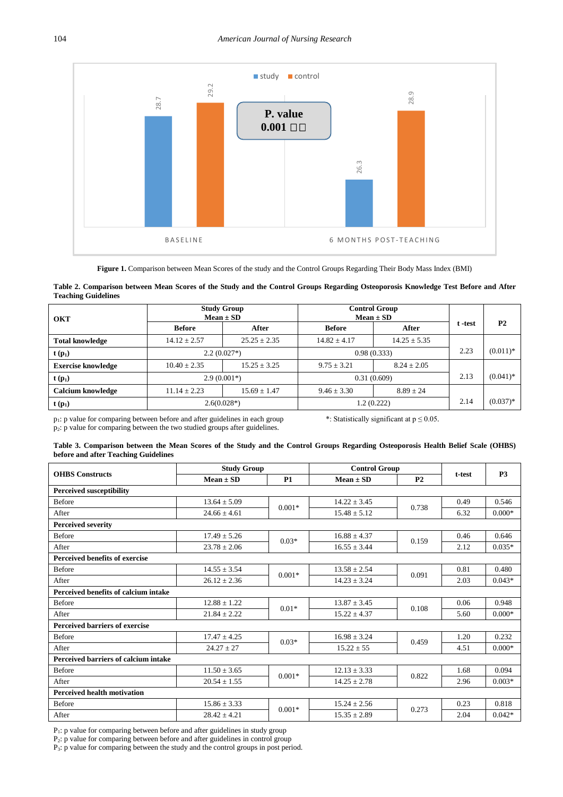<span id="page-4-0"></span>

**Figure 1.** Comparison between Mean Scores of the study and the Control Groups Regarding Their Body Mass Index (BMI)

#### **Table 2. Comparison between Mean Scores of the Study and the Control Groups Regarding Osteoporosis Knowledge Test Before and After Teaching Guidelines**

<span id="page-4-1"></span>

| <b>OKT</b>                | <b>Study Group</b> | $Mean \pm SD$    |                 | <b>Control Group</b><br>$Mean \pm SD$ |            |                |
|---------------------------|--------------------|------------------|-----------------|---------------------------------------|------------|----------------|
|                           | <b>Before</b>      | After            | <b>Before</b>   | After                                 | t -test    | P <sub>2</sub> |
| <b>Total knowledge</b>    | $14.12 \pm 2.57$   | $25.25 \pm 2.35$ | $14.82 + 4.17$  | $14.25 \pm 5.35$                      |            |                |
| $t(p_1)$                  | $2.2(0.027*)$      |                  | 0.98(0.333)     | 2.23                                  | $(0.011)*$ |                |
| <b>Exercise knowledge</b> | $10.40 \pm 2.35$   | $15.25 \pm 3.25$ | $9.75 \pm 3.21$ | $8.24 \pm 2.05$                       |            |                |
| $t(p_1)$                  | $2.9(0.001*)$      |                  | 0.31(0.609)     |                                       | 2.13       | $(0.041)^*$    |
| Calcium knowledge         | $11.14 \pm 2.23$   | $15.69 \pm 1.47$ | $9.46 \pm 3.30$ | $8.89 \pm 24$                         |            |                |
| $t(p_1)$                  | $2.6(0.028*)$      |                  |                 | 1.2(0.222)                            | 2.14       | $(0.037)*$     |

<span id="page-4-2"></span>

| Table 3. Comparison between the Mean Scores of the Study and the Control Groups Regarding Osteoporosis Health Belief Scale (OHBS) |  |  |  |  |  |  |
|-----------------------------------------------------------------------------------------------------------------------------------|--|--|--|--|--|--|
| before and after Teaching Guidelines                                                                                              |  |  |  |  |  |  |

|               |                                      | 28.                                                                                                                                |                                    | P. value<br>$0.001$ $\square$                                                  | 26.3                               | 28                            |              |                        |
|---------------|--------------------------------------|------------------------------------------------------------------------------------------------------------------------------------|------------------------------------|--------------------------------------------------------------------------------|------------------------------------|-------------------------------|--------------|------------------------|
|               |                                      | BASELINE                                                                                                                           |                                    |                                                                                |                                    | <b>6 MONTHS POST-TEACHING</b> |              |                        |
|               |                                      | Figure 1. Comparison between Mean Scores of the study and the Control Groups Regarding Their Body Mass Index (BMI)                 |                                    |                                                                                |                                    |                               |              |                        |
|               | <b>Teaching Guidelines</b>           | Table 2. Comparison between Mean Scores of the Study and the Control Groups Regarding Osteoporosis Knowledge Test Before and After |                                    |                                                                                |                                    |                               |              |                        |
|               |                                      |                                                                                                                                    | <b>Study Group</b>                 |                                                                                | <b>Control Group</b>               |                               |              |                        |
| <b>OKT</b>    |                                      | <b>Before</b>                                                                                                                      | $Mean \pm SD$<br>After             |                                                                                | $Mean \pm SD$<br><b>Before</b>     | After                         | t -test      | P <sub>2</sub>         |
|               |                                      |                                                                                                                                    |                                    |                                                                                |                                    |                               |              |                        |
|               | <b>Total knowledge</b>               | $14.12 \pm 2.57$                                                                                                                   | $25.25 \pm 2.35$                   |                                                                                | $14.82 \pm 4.17$                   | $14.25 \pm 5.35$              | 2.23         | $(0.011)*$             |
| $t(p_1)$      |                                      |                                                                                                                                    | $2.2(0.027*)$<br>0.98(0.333)       |                                                                                |                                    |                               |              |                        |
|               | <b>Exercise knowledge</b>            | $10.40 \pm 2.35$                                                                                                                   | $15.25 \pm 3.25$                   |                                                                                | $9.75 \pm 3.21$                    | $8.24 \pm 2.05$               |              |                        |
| $t(p_1)$      |                                      |                                                                                                                                    | $2.9(0.001*)$                      |                                                                                | 0.31(0.609)                        |                               | 2.13         | $(0.041)$ <sup>*</sup> |
|               | <b>Calcium knowledge</b>             | $11.14 \pm 2.23$                                                                                                                   | $15.69 \pm 1.47$                   |                                                                                | $9.46 \pm 3.30$                    | $8.89 \pm 24$                 |              |                        |
| $t(p_1)$      |                                      |                                                                                                                                    | $2.6(0.028*)$                      |                                                                                | 1.2(0.222)                         |                               | 2.14         | $(0.037)*$             |
|               |                                      |                                                                                                                                    |                                    | $p_2$ : p value for comparing between the two studied groups after guidelines. |                                    |                               |              |                        |
|               | before and after Teaching Guidelines | Table 3. Comparison between the Mean Scores of the Study and the Control Groups Regarding Osteoporosis Health Belief Scale (OHBS)  | <b>Study Group</b>                 |                                                                                | <b>Control Group</b>               |                               |              |                        |
|               | <b>OHBS</b> Constructs               |                                                                                                                                    | $Mean \pm SD$                      | <b>P1</b>                                                                      | $Mean \pm SD$                      | P <sub>2</sub>                | t-test       | P3                     |
|               | <b>Perceived susceptibility</b>      |                                                                                                                                    |                                    |                                                                                |                                    |                               |              |                        |
| <b>Before</b> |                                      |                                                                                                                                    | $13.64 \pm 5.09$                   |                                                                                | $14.22 \pm 3.45$                   |                               | 0.49         | 0.546                  |
| After         |                                      |                                                                                                                                    | $24.66 \pm 4.61$                   | $0.001*$                                                                       | $15.48 \pm 5.12$                   | 0.738                         | 6.32         | $0.000*$               |
|               | <b>Perceived severity</b>            |                                                                                                                                    |                                    |                                                                                |                                    |                               |              |                        |
| <b>Before</b> |                                      |                                                                                                                                    | $17.49 \pm 5.26$                   | $0.03*$                                                                        | $16.88 \pm 4.37$                   | 0.159                         | 0.46         | 0.646                  |
| After         |                                      |                                                                                                                                    | $23.78 \pm 2.06$                   |                                                                                | $16.55 \pm 3.44$                   |                               | 2.12         | $0.035*$               |
|               | Perceived benefits of exercise       |                                                                                                                                    |                                    |                                                                                |                                    |                               |              |                        |
| Before        |                                      |                                                                                                                                    | $14.55 \pm 3.54$                   | $0.001*$                                                                       | $13.58 \pm 2.54$                   | 0.091                         | 0.81         | 0.480                  |
| After         |                                      |                                                                                                                                    | $26.12 \pm 2.36$                   |                                                                                | $14.23 \pm 3.24$                   |                               | 2.03         | $0.043*$               |
|               | Perceived benefits of calcium intake |                                                                                                                                    |                                    |                                                                                |                                    |                               |              |                        |
| Before        |                                      |                                                                                                                                    | $12.88 \pm 1.22$                   | $0.01*$                                                                        | $13.87 \pm 3.45$                   | 0.108                         | 0.06         | 0.948                  |
| After         | Perceived barriers of exercise       |                                                                                                                                    | $21.84 \pm 2.22$                   |                                                                                | $15.22 \pm 4.37$                   |                               | 5.60         | $0.000*$               |
| Before        |                                      |                                                                                                                                    |                                    |                                                                                |                                    |                               |              |                        |
| After         |                                      |                                                                                                                                    | $17.47 \pm 4.25$<br>$24.27 \pm 27$ | $0.03*$                                                                        | $16.98 \pm 3.24$<br>$15.22 \pm 55$ | 0.459                         | 1.20<br>4.51 | 0.232<br>$0.000*$      |
|               | Perceived barriers of calcium intake |                                                                                                                                    |                                    |                                                                                |                                    |                               |              |                        |
| <b>Before</b> |                                      |                                                                                                                                    | $11.50 \pm 3.65$                   |                                                                                | $12.13 \pm 3.33$                   |                               | 1.68         | 0.094                  |
| After         |                                      |                                                                                                                                    | $20.54 \pm 1.55$                   | $0.001*$                                                                       | $14.25\pm2.78$                     | 0.822                         | 2.96         | $0.003*$               |
|               | <b>Perceived health motivation</b>   |                                                                                                                                    |                                    |                                                                                |                                    |                               |              |                        |
| <b>Before</b> |                                      |                                                                                                                                    | $15.86 \pm 3.33$                   |                                                                                | $15.24 \pm 2.56$                   |                               | 0.23         | 0.818                  |
| After         |                                      |                                                                                                                                    | $28.42 \pm 4.21$                   | $0.001*$                                                                       | $15.35 \pm 2.89$                   | 0.273                         | 2.04         | $0.042*$               |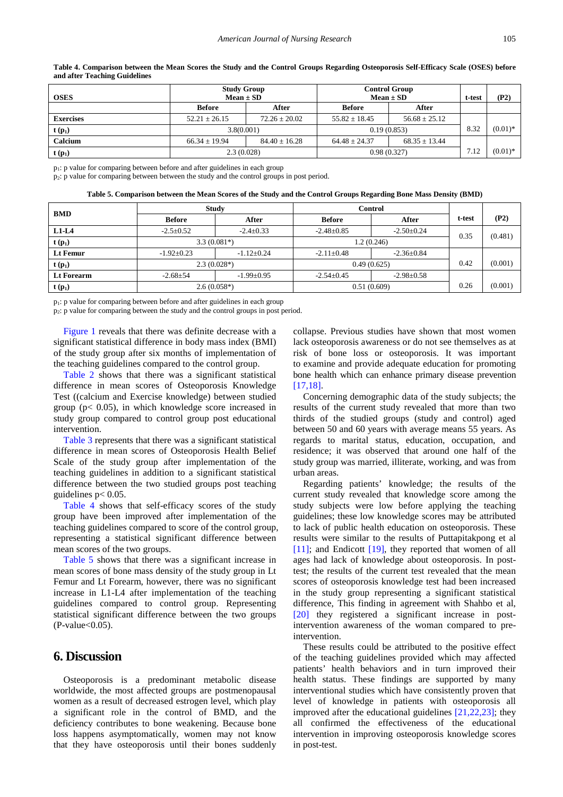<span id="page-5-0"></span>

| <b>OSES</b>      | <b>Study Group</b><br>$Mean \pm SD$ |                   | <b>Control Group</b><br>$Mean \pm SD$ | t-test            | (P2) |            |
|------------------|-------------------------------------|-------------------|---------------------------------------|-------------------|------|------------|
|                  | <b>Before</b>                       | After             | <b>Before</b>                         | After             |      |            |
| <b>Exercises</b> | $52.21 \pm 26.15$                   | $72.26 \pm 20.02$ | $55.82 \pm 18.45$                     | $56.68 + 25.12$   |      |            |
| $t(p_1)$         | 3.8(0.001)                          |                   | 0.19(0.853)                           |                   | 8.32 | $(0.01)$ * |
| Calcium          | $66.34 + 19.94$                     | $84.40 \pm 16.28$ | $64.48 \pm 24.37$                     | $68.35 \pm 13.44$ |      |            |
| $t(p_1)$         | 2.3(0.028)                          |                   |                                       | 0.98(0.327)       | 7.12 | $(0.01)$ * |

**Table 4. Comparison between the Mean Scores the Study and the Control Groups Regarding Osteoporosis Self-Efficacy Scale (OSES) before and after Teaching Guidelines**

p1: p value for comparing between before and after guidelines in each group

p2: p value for comparing between between the study and the control groups in post period.

| Table 5. Comparison between the Mean Scores of the Study and the Control Groups Regarding Bone Mass Density (BMD) |  |  |
|-------------------------------------------------------------------------------------------------------------------|--|--|
|                                                                                                                   |  |  |

<span id="page-5-1"></span>

| <b>BMD</b>        | <b>Study</b>     |                  |                  | <b>Control</b>   |        |         |
|-------------------|------------------|------------------|------------------|------------------|--------|---------|
|                   | <b>Before</b>    | After            | <b>Before</b>    | After            | t-test | (P2)    |
| $L1-L4$           | $-2.5 \pm 0.52$  | $-2.4 \pm 0.33$  | $-2.48+0.85$     | $-2.50 \pm 0.24$ | 0.35   | (0.481) |
| $t(p_1)$          | $3.3(0.081*)$    |                  | 1.2(0.246)       |                  |        |         |
| <b>Lt Femur</b>   | $-1.92 \pm 0.23$ | $-1.12+0.24$     | $-2.11+0.48$     | $-2.36 \pm 0.84$ |        |         |
| $t(p_1)$          | $2.3(0.028*)$    |                  |                  | 0.49(0.625)      | 0.42   | (0.001) |
| <b>Lt Forearm</b> | $-2.68 \pm 54$   | $-1.99 \pm 0.95$ | $-2.54 \pm 0.45$ | $-2.98 \pm 0.58$ |        |         |
| $t(p_1)$          | $2.6(0.058*)$    |                  |                  | 0.51(0.609)      | 0.26   | (0.001) |

p1: p value for comparing between before and after guidelines in each group

p2: p value for comparing between the study and the control groups in post period.

[Figure 1](#page-4-0) reveals that there was definite decrease with a significant statistical difference in body mass index (BMI) of the study group after six months of implementation of the teaching guidelines compared to the control group.

[Table 2](#page-4-1) shows that there was a significant statistical difference in mean scores of Osteoporosis Knowledge Test ((calcium and Exercise knowledge) between studied group ( $p$ < 0.05), in which knowledge score increased in study group compared to control group post educational intervention.

[Table 3](#page-4-2) represents that there was a significant statistical difference in mean scores of Osteoporosis Health Belief Scale of the study group after implementation of the teaching guidelines in addition to a significant statistical difference between the two studied groups post teaching guidelines  $p < 0.05$ .

[Table 4](#page-5-0) shows that self-efficacy scores of the study group have been improved after implementation of the teaching guidelines compared to score of the control group, representing a statistical significant difference between mean scores of the two groups.

[Table 5](#page-5-1) shows that there was a significant increase in mean scores of bone mass density of the study group in Lt Femur and Lt Forearm, however, there was no significant increase in L1-L4 after implementation of the teaching guidelines compared to control group. Representing statistical significant difference between the two groups  $(P-value<0.05)$ .

# **6. Discussion**

Osteoporosis is a predominant metabolic disease worldwide, the most affected groups are postmenopausal women as a result of decreased estrogen level, which play a significant role in the control of BMD, and the deficiency contributes to bone weakening. Because bone loss happens asymptomatically, women may not know that they have osteoporosis until their bones suddenly collapse. Previous studies have shown that most women lack osteoporosis awareness or do not see themselves as at risk of bone loss or osteoporosis. It was important to examine and provide adequate education for promoting bone health which can enhance primary disease prevention [\[17,18\].](#page-7-11) 

Concerning demographic data of the study subjects; the results of the current study revealed that more than two thirds of the studied groups (study and control) aged between 50 and 60 years with average means 55 years. As regards to marital status, education, occupation, and residence; it was observed that around one half of the study group was married, illiterate, working, and was from urban areas.

Regarding patients' knowledge; the results of the current study revealed that knowledge score among the study subjects were low before applying the teaching guidelines; these low knowledge scores may be attributed to lack of public health education on osteoporosis. These results were similar to the results of Puttapitakpong et al [\[11\];](#page-7-5) and Endicott [\[19\],](#page-7-9) they reported that women of all ages had lack of knowledge about osteoporosis. In posttest; the results of the current test revealed that the mean scores of osteoporosis knowledge test had been increased in the study group representing a significant statistical difference, This finding in agreement with Shahbo et al, [\[20\]](#page-7-10) they registered a significant increase in postintervention awareness of the woman compared to preintervention.

These results could be attributed to the positive effect of the teaching guidelines provided which may affected patients' health behaviors and in turn improved their health status. These findings are supported by many interventional studies which have consistently proven that level of knowledge in patients with osteoporosis all improved after the educational guidelines [\[21,22,23\];](#page-7-12) they all confirmed the effectiveness of the educational intervention in improving osteoporosis knowledge scores in post-test.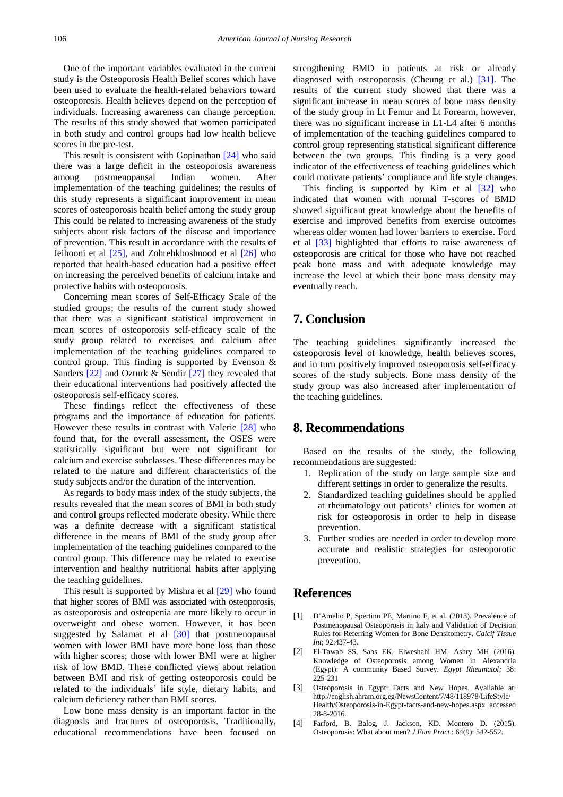One of the important variables evaluated in the current study is the Osteoporosis Health Belief scores which have been used to evaluate the health-related behaviors toward osteoporosis. Health believes depend on the perception of individuals. Increasing awareness can change perception. The results of this study showed that women participated in both study and control groups had low health believe scores in the pre-test.

This result is consistent with Gopinathan [\[24\]](#page-7-13) who said there was a large deficit in the osteoporosis awareness among postmenopausal Indian women. After implementation of the teaching guidelines; the results of this study represents a significant improvement in mean scores of osteoporosis health belief among the study group This could be related to increasing awareness of the study subjects about risk factors of the disease and importance of prevention. This result in accordance with the results of Jeihooni et al [\[25\],](#page-7-14) and Zohrehkhoshnood et al [\[26\]](#page-7-15) who reported that health-based education had a positive effect on increasing the perceived benefits of calcium intake and protective habits with osteoporosis.

Concerning mean scores of Self-Efficacy Scale of the studied groups; the results of the current study showed that there was a significant statistical improvement in mean scores of osteoporosis self-efficacy scale of the study group related to exercises and calcium after implementation of the teaching guidelines compared to control group. This finding is supported by Evenson & Sanders [\[22\]](#page-7-16) and Ozturk & Sendir [\[27\]](#page-7-17) they revealed that their educational interventions had positively affected the osteoporosis self-efficacy scores.

These findings reflect the effectiveness of these programs and the importance of education for patients. However these results in contrast with Valerie [\[28\]](#page-7-18) who found that, for the overall assessment, the OSES were statistically significant but were not significant for calcium and exercise subclasses. These differences may be related to the nature and different characteristics of the study subjects and/or the duration of the intervention.

As regards to body mass index of the study subjects, the results revealed that the mean scores of BMI in both study and control groups reflected moderate obesity. While there was a definite decrease with a significant statistical difference in the means of BMI of the study group after implementation of the teaching guidelines compared to the control group. This difference may be related to exercise intervention and healthy nutritional habits after applying the teaching guidelines.

This result is supported by Mishra et al [\[29\]](#page-7-19) who found that higher scores of BMI was associated with osteoporosis, as osteoporosis and osteopenia are more likely to occur in overweight and obese women. However, it has been suggested by Salamat et al [\[30\]](#page-7-20) that postmenopausal women with lower BMI have more bone loss than those with higher scores; those with lower BMI were at higher risk of low BMD. These conflicted views about relation between BMI and risk of getting osteoporosis could be related to the individuals' life style, dietary habits, and calcium deficiency rather than BMI scores.

Low bone mass density is an important factor in the diagnosis and fractures of osteoporosis. Traditionally, educational recommendations have been focused on strengthening BMD in patients at risk or already diagnosed with osteoporosis (Cheung et al.) [\[31\].](#page-7-21) The results of the current study showed that there was a significant increase in mean scores of bone mass density of the study group in Lt Femur and Lt Forearm, however, there was no significant increase in L1-L4 after 6 months of implementation of the teaching guidelines compared to control group representing statistical significant difference between the two groups. This finding is a very good indicator of the effectiveness of teaching guidelines which could motivate patients' compliance and life style changes.

This finding is supported by Kim et al [\[32\]](#page-7-22) who indicated that women with normal T-scores of BMD showed significant great knowledge about the benefits of exercise and improved benefits from exercise outcomes whereas older women had lower barriers to exercise. Ford et al [\[33\]](#page-7-23) highlighted that efforts to raise awareness of osteoporosis are critical for those who have not reached peak bone mass and with adequate knowledge may increase the level at which their bone mass density may eventually reach.

# **7. Conclusion**

The teaching guidelines significantly increased the osteoporosis level of knowledge, health believes scores, and in turn positively improved osteoporosis self-efficacy scores of the study subjects. Bone mass density of the study group was also increased after implementation of the teaching guidelines.

# **8. Recommendations**

Based on the results of the study, the following recommendations are suggested:

- 1. Replication of the study on large sample size and different settings in order to generalize the results.
- 2. Standardized teaching guidelines should be applied at rheumatology out patients' clinics for women at risk for osteoporosis in order to help in disease prevention.
- 3. Further studies are needed in order to develop more accurate and realistic strategies for osteoporotic prevention.

# **References**

- <span id="page-6-0"></span>[1] D'Amelio P, Spertino PE, Martino F, et al. (2013). Prevalence of Postmenopausal Osteoporosis in Italy and Validation of Decision Rules for Referring Women for Bone Densitometry. *Calcif Tissue Int*; 92:437-43.
- <span id="page-6-1"></span>[2] El-Tawab SS, Sabs EK, Elweshahi HM, Ashry MH (2016). Knowledge of Osteoporosis among Women in Alexandria (Egypt): A community Based Survey. *Egypt Rheumatol;* 38: 225-231
- <span id="page-6-2"></span>[3] Osteoporosis in Egypt: Facts and New Hopes. Available at: http://english.ahram.org.eg/NewsContent/7/48/118978/LifeStyle/ Health/Osteoporosis-in-Egypt-facts-and-new-hopes.aspx accessed 28-8-2016.
- <span id="page-6-3"></span>[4] Farford, B. Balog, J. Jackson, KD. Montero D. (2015). Osteoporosis: What about men? *J Fam Pract*.; 64(9): 542-552.